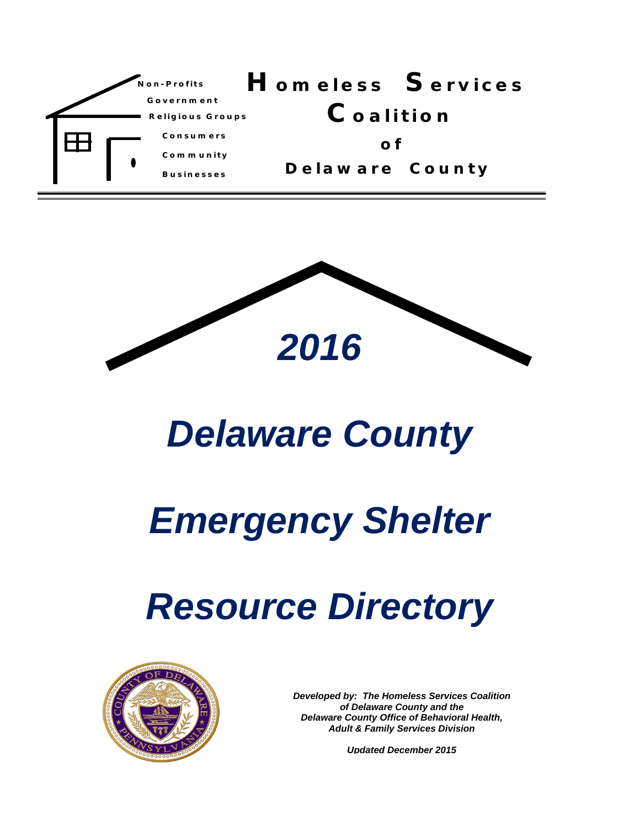



# *Delaware County*

# *Emergency Shelter*

# *Resource Directory*



*Developed by: The Homeless Services Coalition of Delaware County and the Delaware County Office of Behavioral Health, Adult & Family Services Division* 

*Updated December 2015*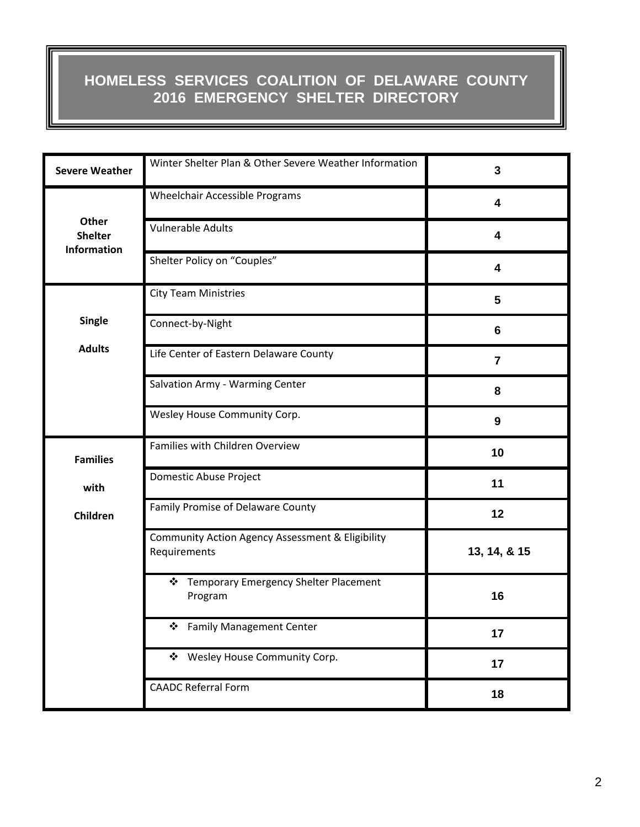#### **HOMELESS SERVICES COALITION OF DELAWARE COUNTY 2016 EMERGENCY SHELTER DIRECTORY**

| <b>Severe Weather</b>                  | Winter Shelter Plan & Other Severe Weather Information           | 3            |
|----------------------------------------|------------------------------------------------------------------|--------------|
|                                        | <b>Wheelchair Accessible Programs</b>                            | 4            |
| Other<br><b>Shelter</b><br>Information | <b>Vulnerable Adults</b>                                         | 4            |
|                                        | Shelter Policy on "Couples"                                      | 4            |
|                                        | <b>City Team Ministries</b>                                      | 5            |
| <b>Single</b>                          | Connect-by-Night                                                 | 6            |
| <b>Adults</b>                          | Life Center of Eastern Delaware County                           | 7            |
|                                        | Salvation Army - Warming Center                                  | 8            |
|                                        | Wesley House Community Corp.                                     | 9            |
| <b>Families</b>                        | Families with Children Overview                                  | 10           |
| with                                   | Domestic Abuse Project                                           | 11           |
| Children                               | Family Promise of Delaware County                                | 12           |
|                                        | Community Action Agency Assessment & Eligibility<br>Requirements | 13, 14, & 15 |
|                                        | ❖ Temporary Emergency Shelter Placement<br>Program               | 16           |
|                                        | <b>Family Management Center</b><br>❖                             | 17           |
|                                        | ❖ Wesley House Community Corp.                                   | 17           |
|                                        | <b>CAADC Referral Form</b>                                       | 18           |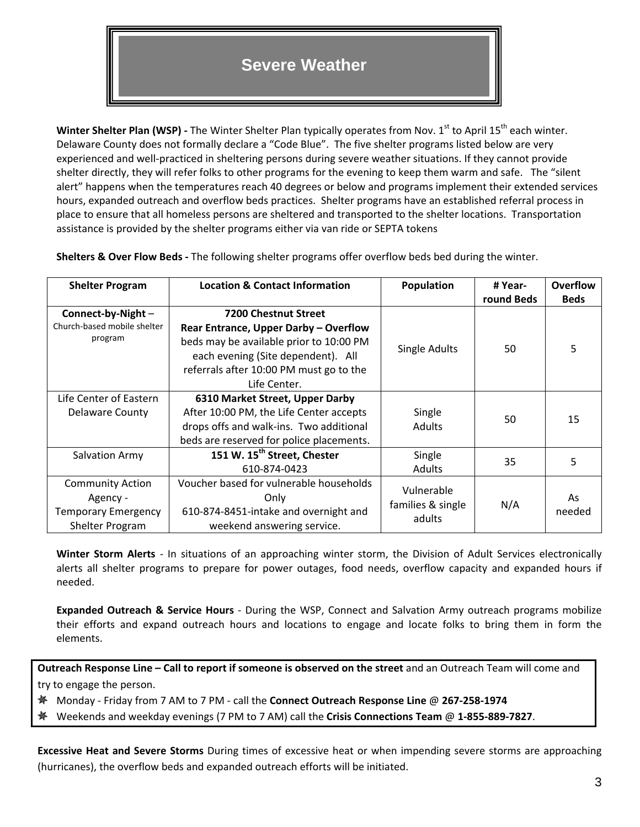#### **Severe Weather**

**Winter Shelter Plan (WSP)** - The Winter Shelter Plan typically operates from Nov. 1<sup>st</sup> to April 15<sup>th</sup> each winter. Delaware County does not formally declare a "Code Blue". The five shelter programs listed below are very experienced and well‐practiced in sheltering persons during severe weather situations. If they cannot provide shelter directly, they will refer folks to other programs for the evening to keep them warm and safe. The "silent alert" happens when the temperatures reach 40 degrees or below and programs implement their extended services hours, expanded outreach and overflow beds practices. Shelter programs have an established referral process in place to ensure that all homeless persons are sheltered and transported to the shelter locations. Transportation assistance is provided by the shelter programs either via van ride or SEPTA tokens

| <b>Shelter Program</b>      | <b>Location &amp; Contact Information</b> | <b>Population</b> | # Year-    | <b>Overflow</b> |
|-----------------------------|-------------------------------------------|-------------------|------------|-----------------|
|                             |                                           |                   | round Beds | <b>Beds</b>     |
| Connect-by-Night -          | <b>7200 Chestnut Street</b>               |                   |            |                 |
| Church-based mobile shelter | Rear Entrance, Upper Darby - Overflow     |                   |            |                 |
| program                     | beds may be available prior to 10:00 PM   |                   | 50         | 5               |
|                             | each evening (Site dependent). All        | Single Adults     |            |                 |
|                             | referrals after 10:00 PM must go to the   |                   |            |                 |
|                             | Life Center.                              |                   |            |                 |
| Life Center of Eastern      | 6310 Market Street, Upper Darby           |                   |            |                 |
| Delaware County             | After 10:00 PM, the Life Center accepts   | Single            | 50         | 15              |
|                             | drops offs and walk-ins. Two additional   | <b>Adults</b>     |            |                 |
|                             | beds are reserved for police placements.  |                   |            |                 |
| Salvation Army              | 151 W. 15 <sup>th</sup> Street, Chester   | Single            | 35         | 5               |
|                             | 610-874-0423                              | Adults            |            |                 |
| <b>Community Action</b>     | Voucher based for vulnerable households   | Vulnerable        |            |                 |
| Agency -                    | Only                                      |                   | N/A        | As              |
| <b>Temporary Emergency</b>  | 610-874-8451-intake and overnight and     | families & single |            | needed          |
| Shelter Program             | weekend answering service.                | adults            |            |                 |

**Shelters & Over Flow Beds ‐** The following shelter programs offer overflow beds bed during the winter.

**Winter Storm Alerts** ‐ In situations of an approaching winter storm, the Division of Adult Services electronically alerts all shelter programs to prepare for power outages, food needs, overflow capacity and expanded hours if needed.

**Expanded Outreach & Service Hours** ‐ During the WSP, Connect and Salvation Army outreach programs mobilize their efforts and expand outreach hours and locations to engage and locate folks to bring them in form the elements.

**Outreach Response Line – Call to report if someone is observed on the street** and an Outreach Team will come and try to engage the person.

Monday ‐ Friday from 7 AM to 7 PM ‐ call the **Connect Outreach Response Line** @ **267‐258‐1974**

弊 Weekends and weekday evenings (7 PM to 7 AM) call the **Crisis Connections Team** @ **1‐855‐889‐7827**.

**Excessive Heat and Severe Storms** During times of excessive heat or when impending severe storms are approaching (hurricanes), the overflow beds and expanded outreach efforts will be initiated.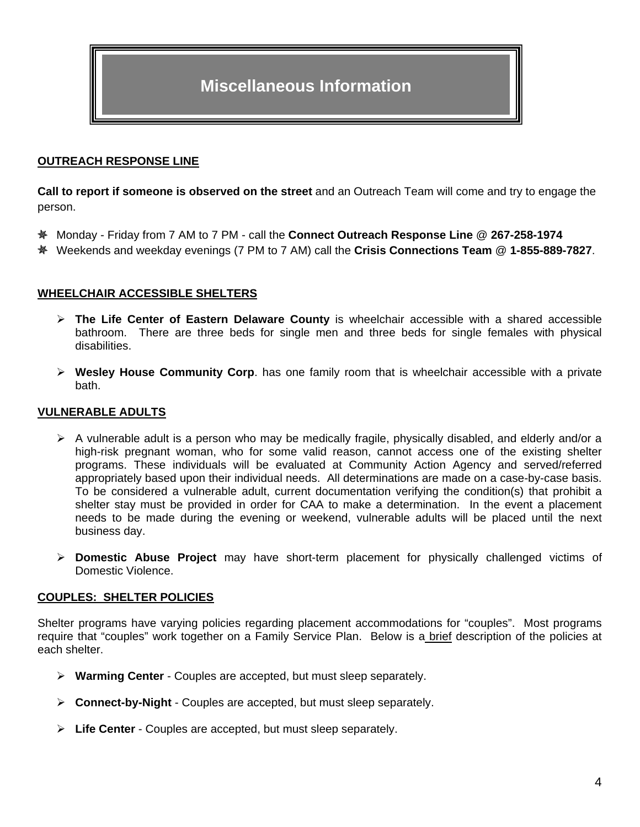#### **OUTREACH RESPONSE LINE**

**Call to report if someone is observed on the street** and an Outreach Team will come and try to engage the person.

- Monday Friday from 7 AM to 7 PM call the **Connect Outreach Response Line** @ **267-258-1974**
- Weekends and weekday evenings (7 PM to 7 AM) call the **Crisis Connections Team** @ **1-855-889-7827**.

#### **WHEELCHAIR ACCESSIBLE SHELTERS**

- **The Life Center of Eastern Delaware County** is wheelchair accessible with a shared accessible bathroom. There are three beds for single men and three beds for single females with physical disabilities.
- **Wesley House Community Corp**. has one family room that is wheelchair accessible with a private bath.

#### **VULNERABLE ADULTS**

- $\triangleright$  A vulnerable adult is a person who may be medically fragile, physically disabled, and elderly and/or a high-risk pregnant woman, who for some valid reason, cannot access one of the existing shelter programs. These individuals will be evaluated at Community Action Agency and served/referred appropriately based upon their individual needs. All determinations are made on a case-by-case basis. To be considered a vulnerable adult, current documentation verifying the condition(s) that prohibit a shelter stay must be provided in order for CAA to make a determination. In the event a placement needs to be made during the evening or weekend, vulnerable adults will be placed until the next business day.
- **Domestic Abuse Project** may have short-term placement for physically challenged victims of Domestic Violence.

#### **COUPLES: SHELTER POLICIES**

Shelter programs have varying policies regarding placement accommodations for "couples". Most programs require that "couples" work together on a Family Service Plan. Below is a brief description of the policies at each shelter.

- **Warming Center** Couples are accepted, but must sleep separately.
- **Connect-by-Night** Couples are accepted, but must sleep separately.
- **Life Center** Couples are accepted, but must sleep separately.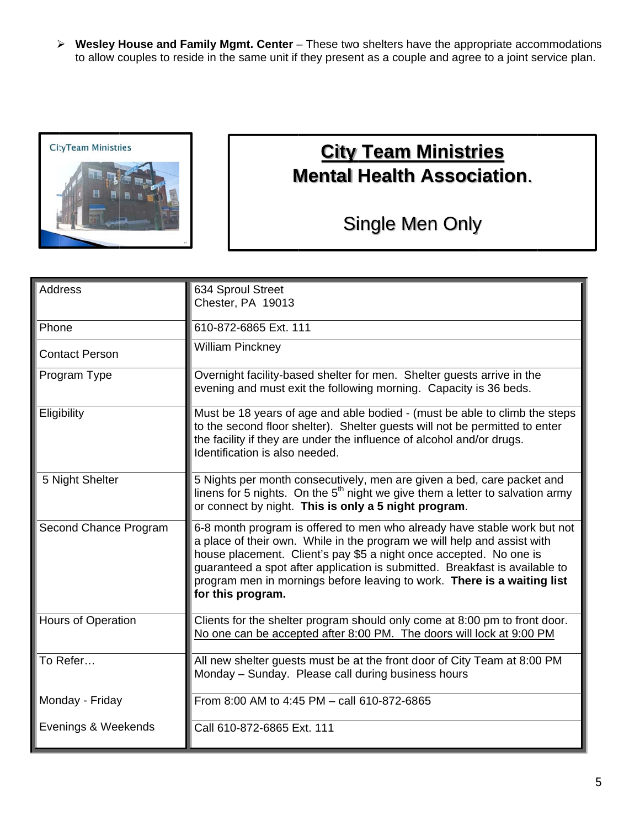> Wesley House and Family Mgmt. Center - These two shelters have the appropriate accommodations to allow couples to reside in the same unit if they present as a couple and agree to a joint service plan.



### **City Team Ministries Mental Health Association.**

### Single Men Only

| Address               | 634 Sproul Street<br>Chester, PA 19013                                                                                                                                                                                                                                                                                                                                                                   |
|-----------------------|----------------------------------------------------------------------------------------------------------------------------------------------------------------------------------------------------------------------------------------------------------------------------------------------------------------------------------------------------------------------------------------------------------|
|                       |                                                                                                                                                                                                                                                                                                                                                                                                          |
| Phone                 | 610-872-6865 Ext. 111                                                                                                                                                                                                                                                                                                                                                                                    |
| <b>Contact Person</b> | <b>William Pinckney</b>                                                                                                                                                                                                                                                                                                                                                                                  |
| Program Type          | Overnight facility-based shelter for men. Shelter guests arrive in the<br>evening and must exit the following morning. Capacity is 36 beds.                                                                                                                                                                                                                                                              |
| Eligibility           | Must be 18 years of age and able bodied - (must be able to climb the steps<br>to the second floor shelter). Shelter guests will not be permitted to enter<br>the facility if they are under the influence of alcohol and/or drugs.<br>Identification is also needed.                                                                                                                                     |
| 5 Night Shelter       | 5 Nights per month consecutively, men are given a bed, care packet and<br>linens for 5 nights. On the 5 <sup>th</sup> night we give them a letter to salvation army<br>or connect by night. This is only a 5 night program.                                                                                                                                                                              |
| Second Chance Program | 6-8 month program is offered to men who already have stable work but not<br>a place of their own. While in the program we will help and assist with<br>house placement. Client's pay \$5 a night once accepted. No one is<br>guaranteed a spot after application is submitted. Breakfast is available to<br>program men in mornings before leaving to work. There is a waiting list<br>for this program. |
| Hours of Operation    | Clients for the shelter program should only come at 8:00 pm to front door.<br>No one can be accepted after 8:00 PM. The doors will lock at 9:00 PM                                                                                                                                                                                                                                                       |
| To Refer              | All new shelter guests must be at the front door of City Team at 8:00 PM<br>Monday - Sunday. Please call during business hours                                                                                                                                                                                                                                                                           |
| Monday - Friday       | From 8:00 AM to 4:45 PM - call 610-872-6865                                                                                                                                                                                                                                                                                                                                                              |
| Evenings & Weekends   | Call 610-872-6865 Ext. 111                                                                                                                                                                                                                                                                                                                                                                               |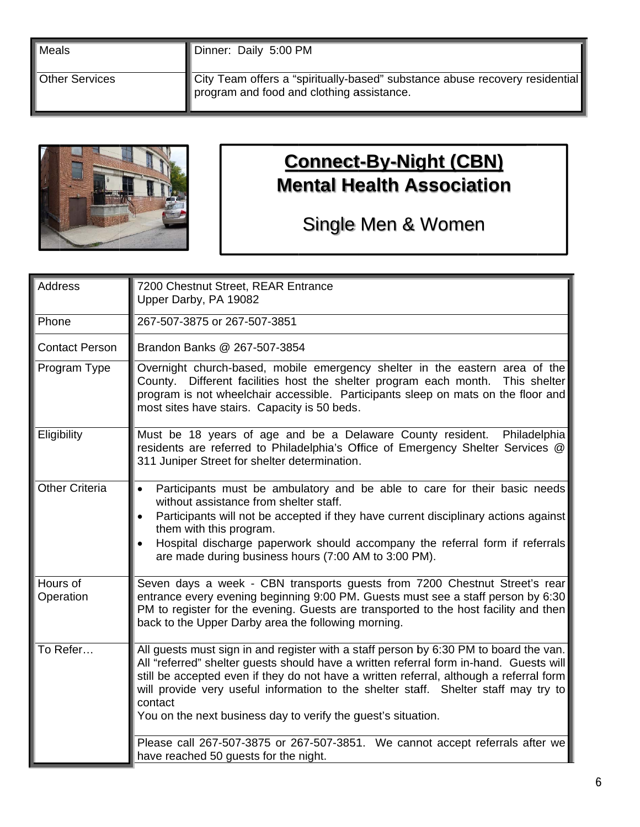| Meals            | Dinner: Daily 5:00 PM                                                                                                    |
|------------------|--------------------------------------------------------------------------------------------------------------------------|
| l Other Services | City Team offers a "spiritually-based" substance abuse recovery residential<br>program and food and clothing assistance. |



### **Connect-By-Night (CBN) Mental Health Association**

### Single Men & Women

| <b>Address</b>        | 7200 Chestnut Street, REAR Entrance<br>Upper Darby, PA 19082                                                                                                                                                                                                                                                                                                                                                                                  |
|-----------------------|-----------------------------------------------------------------------------------------------------------------------------------------------------------------------------------------------------------------------------------------------------------------------------------------------------------------------------------------------------------------------------------------------------------------------------------------------|
| Phone                 | 267-507-3875 or 267-507-3851                                                                                                                                                                                                                                                                                                                                                                                                                  |
|                       |                                                                                                                                                                                                                                                                                                                                                                                                                                               |
| <b>Contact Person</b> | Brandon Banks @ 267-507-3854                                                                                                                                                                                                                                                                                                                                                                                                                  |
| Program Type          | Overnight church-based, mobile emergency shelter in the eastern area of the<br>County. Different facilities host the shelter program each month. This shelter<br>program is not wheelchair accessible. Participants sleep on mats on the floor and<br>most sites have stairs. Capacity is 50 beds.                                                                                                                                            |
| Eligibility           | Must be 18 years of age and be a Delaware County resident. Philadelphia<br>residents are referred to Philadelphia's Office of Emergency Shelter Services @<br>311 Juniper Street for shelter determination.                                                                                                                                                                                                                                   |
| <b>Other Criteria</b> | Participants must be ambulatory and be able to care for their basic needs<br>without assistance from shelter staff.<br>Participants will not be accepted if they have current disciplinary actions against<br>them with this program.<br>Hospital discharge paperwork should accompany the referral form if referrals<br>are made during business hours (7:00 AM to 3:00 PM).                                                                 |
| Hours of<br>Operation | Seven days a week - CBN transports guests from 7200 Chestnut Street's rear<br>entrance every evening beginning 9:00 PM. Guests must see a staff person by 6:30<br>PM to register for the evening. Guests are transported to the host facility and then<br>back to the Upper Darby area the following morning.                                                                                                                                 |
| To Refer              | All guests must sign in and register with a staff person by 6:30 PM to board the van.<br>All "referred" shelter guests should have a written referral form in-hand. Guests will<br>still be accepted even if they do not have a written referral, although a referral form<br>will provide very useful information to the shelter staff. Shelter staff may try to<br>contact<br>You on the next business day to verify the guest's situation. |
|                       | Please call 267-507-3875 or 267-507-3851. We cannot accept referrals after we<br>have reached 50 guests for the night.                                                                                                                                                                                                                                                                                                                        |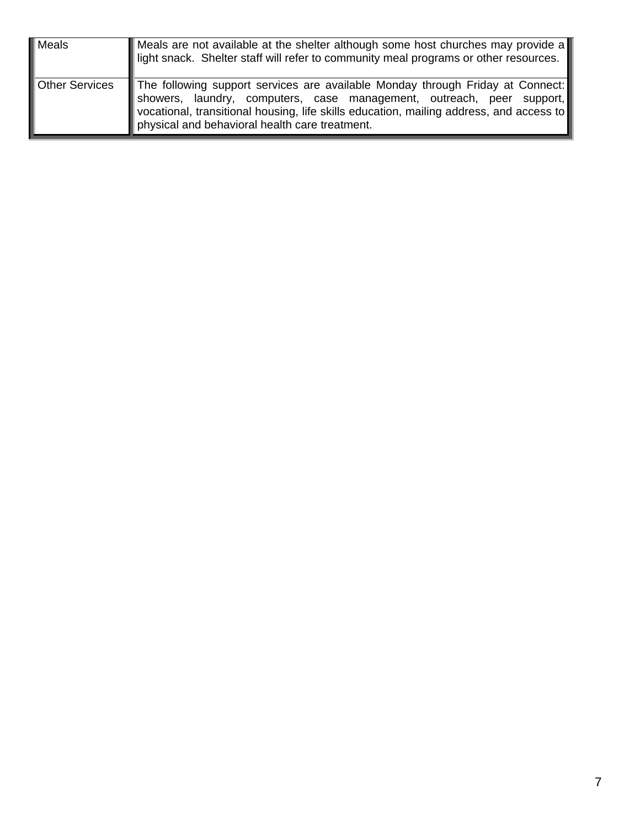| Meals                 | Meals are not available at the shelter although some host churches may provide a<br>light snack. Shelter staff will refer to community meal programs or other resources.                                                                                                                             |
|-----------------------|------------------------------------------------------------------------------------------------------------------------------------------------------------------------------------------------------------------------------------------------------------------------------------------------------|
| <b>Other Services</b> | The following support services are available Monday through Friday at Connect:<br>showers, laundry, computers, case management, outreach, peer support,<br>vocational, transitional housing, life skills education, mailing address, and access to<br>physical and behavioral health care treatment. |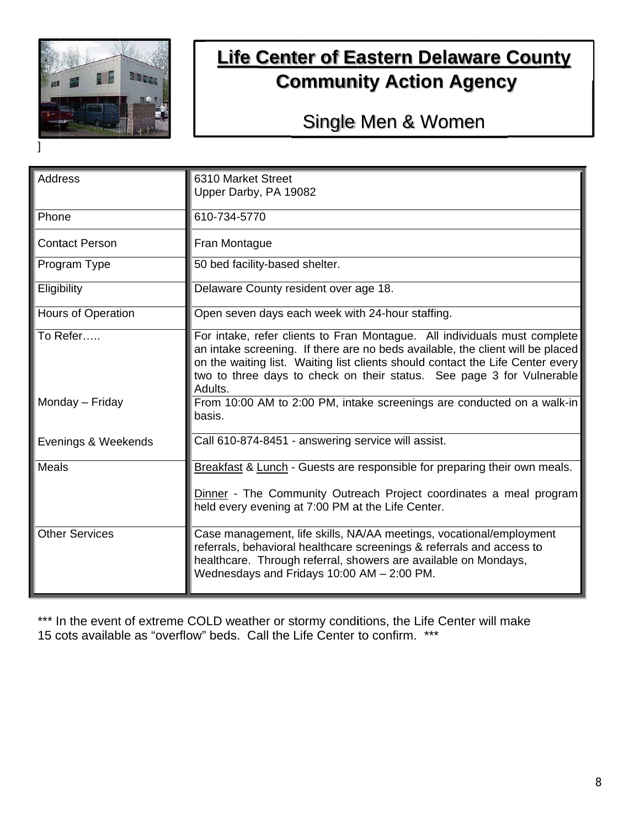

### **Life Center of Eastern Delaware County Community Action Agency**

### Single Men & Women

| <b>Address</b>        | 6310 Market Street                                                             |
|-----------------------|--------------------------------------------------------------------------------|
|                       |                                                                                |
|                       | Upper Darby, PA 19082                                                          |
| Phone                 | 610-734-5770                                                                   |
| <b>Contact Person</b> | Fran Montague                                                                  |
| Program Type          | 50 bed facility-based shelter.                                                 |
| Eligibility           | Delaware County resident over age 18.                                          |
| Hours of Operation    | Open seven days each week with 24-hour staffing.                               |
| To Refer              | For intake, refer clients to Fran Montague. All individuals must complete      |
|                       | an intake screening. If there are no beds available, the client will be placed |
|                       | on the waiting list. Waiting list clients should contact the Life Center every |
|                       | two to three days to check on their status. See page 3 for Vulnerable          |
|                       | Adults.                                                                        |
| Monday – Friday       | From 10:00 AM to 2:00 PM, intake screenings are conducted on a walk-in         |
|                       | basis.                                                                         |
| Evenings & Weekends   | Call 610-874-8451 - answering service will assist.                             |
|                       |                                                                                |
| Meals                 | Breakfast & Lunch - Guests are responsible for preparing their own meals.      |
|                       | Dinner - The Community Outreach Project coordinates a meal program             |
|                       | held every evening at 7:00 PM at the Life Center.                              |
|                       |                                                                                |
| <b>Other Services</b> | Case management, life skills, NA/AA meetings, vocational/employment            |
|                       | referrals, behavioral healthcare screenings & referrals and access to          |
|                       | healthcare. Through referral, showers are available on Mondays,                |
|                       | Wednesdays and Fridays 10:00 AM - 2:00 PM.                                     |
|                       |                                                                                |

\*\*\* In the event of extreme COLD weather or stormy conditions, the Life Center will make 15 cots available as "overflow" beds. Call the Life Center to confirm. \*\*\*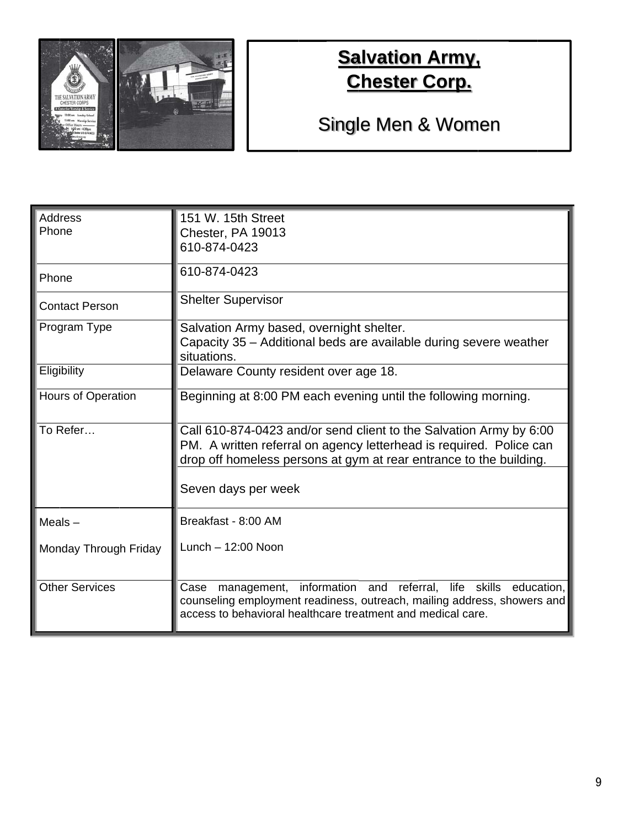

### **Salvation Army, Chester Corp.**

# Single Men & Women

| <b>Address</b><br>Phone   | 151 W. 15th Street<br>Chester, PA 19013<br>610-874-0423                                                                                                                                                           |
|---------------------------|-------------------------------------------------------------------------------------------------------------------------------------------------------------------------------------------------------------------|
| Phone                     | 610-874-0423                                                                                                                                                                                                      |
| <b>Contact Person</b>     | <b>Shelter Supervisor</b>                                                                                                                                                                                         |
| Program Type              | Salvation Army based, overnight shelter.<br>Capacity 35 – Additional beds are available during severe weather<br>situations.                                                                                      |
| Eligibility               | Delaware County resident over age 18.                                                                                                                                                                             |
| <b>Hours of Operation</b> | Beginning at 8:00 PM each evening until the following morning.                                                                                                                                                    |
| To Refer                  | Call 610-874-0423 and/or send client to the Salvation Army by 6:00<br>PM. A written referral on agency letterhead is required. Police can<br>drop off homeless persons at gym at rear entrance to the building.   |
|                           | Seven days per week                                                                                                                                                                                               |
| Meals $-$                 | Breakfast - 8:00 AM                                                                                                                                                                                               |
| Monday Through Friday     | Lunch $-12:00$ Noon                                                                                                                                                                                               |
| <b>Other Services</b>     | life skills education,<br>Case<br>management, information and referral,<br>counseling employment readiness, outreach, mailing address, showers and<br>access to behavioral healthcare treatment and medical care. |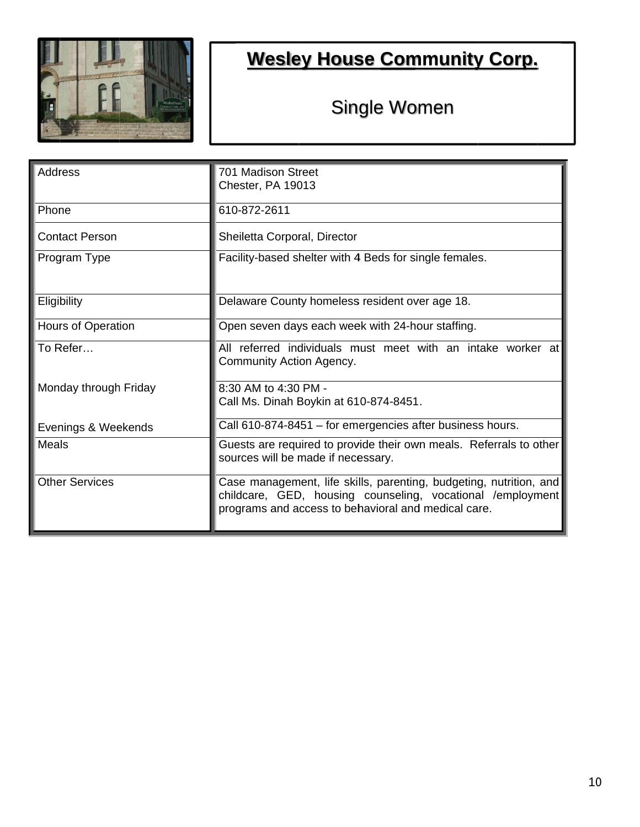

# **Wesley House Community Corp.**

## Single Women

| <b>Address</b>        | 701 Madison Street                                                                                                                                                                      |
|-----------------------|-----------------------------------------------------------------------------------------------------------------------------------------------------------------------------------------|
|                       | Chester, PA 19013                                                                                                                                                                       |
| Phone                 | 610-872-2611                                                                                                                                                                            |
| <b>Contact Person</b> | Sheiletta Corporal, Director                                                                                                                                                            |
| Program Type          | Facility-based shelter with 4 Beds for single females.                                                                                                                                  |
| Eligibility           | Delaware County homeless resident over age 18.                                                                                                                                          |
| Hours of Operation    | Open seven days each week with 24-hour staffing.                                                                                                                                        |
| To Refer…             | All referred individuals must meet with an intake worker at<br>Community Action Agency.                                                                                                 |
| Monday through Friday | 8:30 AM to 4:30 PM -                                                                                                                                                                    |
|                       | Call Ms. Dinah Boykin at 610-874-8451.                                                                                                                                                  |
| Evenings & Weekends   | Call 610-874-8451 - for emergencies after business hours.                                                                                                                               |
| <b>Meals</b>          | Guests are required to provide their own meals. Referrals to other<br>sources will be made if necessary.                                                                                |
| <b>Other Services</b> | Case management, life skills, parenting, budgeting, nutrition, and<br>childcare, GED, housing counseling, vocational /employment<br>programs and access to behavioral and medical care. |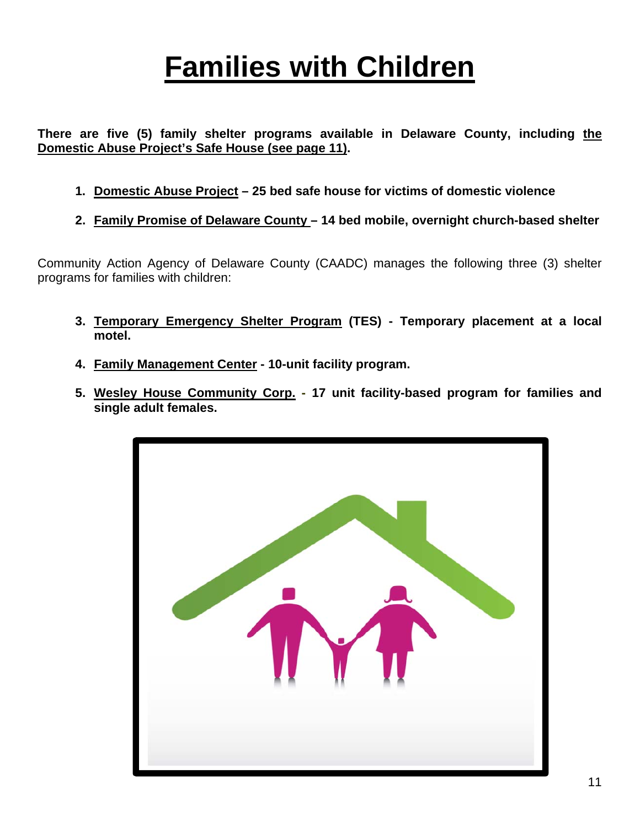# **Families with Children**

**There are five (5) family shelter programs available in Delaware County, including the Domestic Abuse Project's Safe House (see page 11).** 

- **1. Domestic Abuse Project 25 bed safe house for victims of domestic violence**
- **2. Family Promise of Delaware County 14 bed mobile, overnight church-based shelter**

Community Action Agency of Delaware County (CAADC) manages the following three (3) shelter programs for families with children:

- **3. Temporary Emergency Shelter Program (TES) Temporary placement at a local motel.**
- **4. Family Management Center 10-unit facility program.**
- **5. Wesley House Community Corp. 17 unit facility-based program for families and single adult females.**

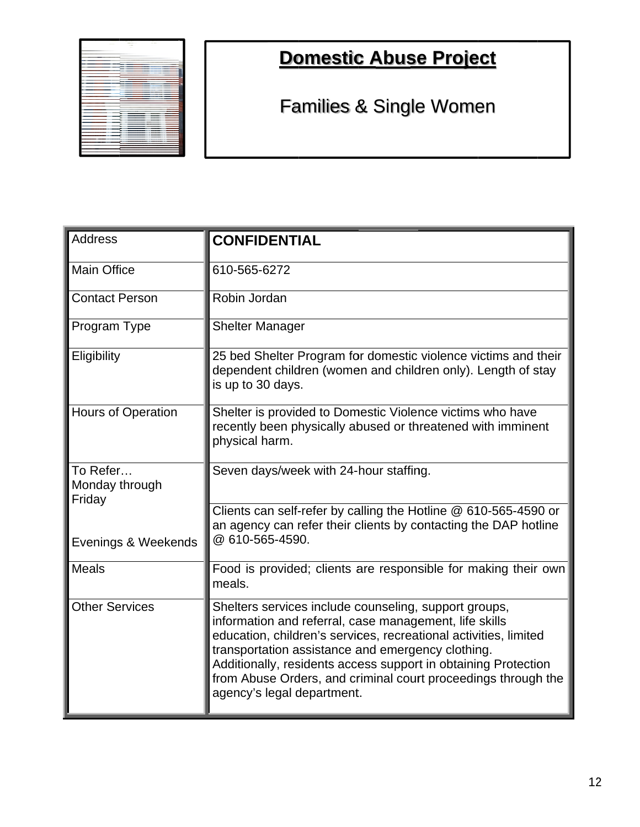| <b>CONTRACTOR</b><br><b>SECTION</b> | <b>CONTRACTOR</b> |
|-------------------------------------|-------------------|
| <b>COMPANY</b><br>$\sim$            | $\sim$            |
|                                     |                   |
|                                     |                   |
| ۰                                   |                   |
|                                     |                   |
| ×                                   |                   |
|                                     |                   |
|                                     |                   |
|                                     |                   |
| ÷                                   |                   |
|                                     |                   |
|                                     |                   |
| ∼                                   | ۰                 |
| ۰                                   |                   |
| u                                   |                   |
|                                     |                   |
|                                     |                   |
|                                     |                   |
|                                     |                   |
| ÷                                   |                   |
|                                     |                   |
| ٠                                   |                   |
|                                     |                   |
|                                     |                   |
|                                     |                   |
|                                     |                   |
|                                     |                   |
|                                     |                   |
|                                     |                   |
|                                     |                   |
|                                     |                   |
|                                     |                   |
|                                     |                   |
|                                     |                   |
|                                     |                   |
|                                     |                   |
|                                     |                   |
| -                                   |                   |

## **Domestic Abuse Project**

Families & Single Women

| <b>Address</b>                       | <b>CONFIDENTIAL</b>                                                                                                                                                                                                                                                                                                                                                                                       |
|--------------------------------------|-----------------------------------------------------------------------------------------------------------------------------------------------------------------------------------------------------------------------------------------------------------------------------------------------------------------------------------------------------------------------------------------------------------|
| <b>Main Office</b>                   | 610-565-6272                                                                                                                                                                                                                                                                                                                                                                                              |
| <b>Contact Person</b>                | Robin Jordan                                                                                                                                                                                                                                                                                                                                                                                              |
| Program Type                         | <b>Shelter Manager</b>                                                                                                                                                                                                                                                                                                                                                                                    |
| Eligibility                          | 25 bed Shelter Program for domestic violence victims and their<br>dependent children (women and children only). Length of stay<br>is up to 30 days.                                                                                                                                                                                                                                                       |
| <b>Hours of Operation</b>            | Shelter is provided to Domestic Violence victims who have<br>recently been physically abused or threatened with imminent<br>physical harm.                                                                                                                                                                                                                                                                |
| To Refer<br>Monday through<br>Friday | Seven days/week with 24-hour staffing.                                                                                                                                                                                                                                                                                                                                                                    |
| Evenings & Weekends                  | Clients can self-refer by calling the Hotline @ 610-565-4590 or<br>an agency can refer their clients by contacting the DAP hotline<br>@ 610-565-4590.                                                                                                                                                                                                                                                     |
| <b>Meals</b>                         | Food is provided; clients are responsible for making their own<br>meals.                                                                                                                                                                                                                                                                                                                                  |
| <b>Other Services</b>                | Shelters services include counseling, support groups,<br>information and referral, case management, life skills<br>education, children's services, recreational activities, limited<br>transportation assistance and emergency clothing.<br>Additionally, residents access support in obtaining Protection<br>from Abuse Orders, and criminal court proceedings through the<br>agency's legal department. |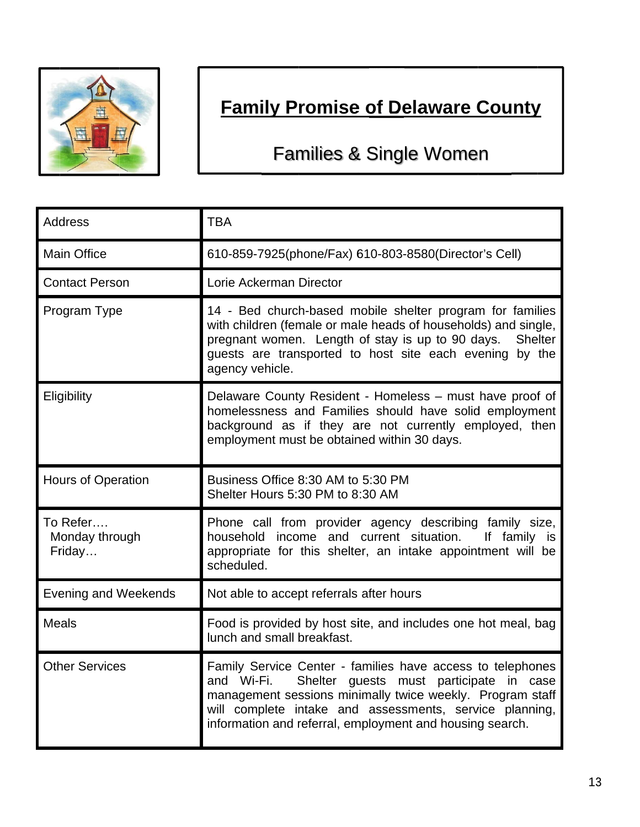

# **Family Promise of Delaware County**

Families & Single Women

| <b>Address</b>                       | <b>TBA</b>                                                                                                                                                                                                                                                                                              |
|--------------------------------------|---------------------------------------------------------------------------------------------------------------------------------------------------------------------------------------------------------------------------------------------------------------------------------------------------------|
| <b>Main Office</b>                   | 610-859-7925(phone/Fax) 610-803-8580(Director's Cell)                                                                                                                                                                                                                                                   |
| <b>Contact Person</b>                | Lorie Ackerman Director                                                                                                                                                                                                                                                                                 |
| Program Type                         | 14 - Bed church-based mobile shelter program for families<br>with children (female or male heads of households) and single,<br>pregnant women. Length of stay is up to 90 days.<br><b>Shelter</b><br>guests are transported to host site each evening by the<br>agency vehicle.                         |
| Eligibility                          | Delaware County Resident - Homeless - must have proof of<br>homelessness and Families should have solid employment<br>background as if they are not currently employed, then<br>employment must be obtained within 30 days.                                                                             |
| <b>Hours of Operation</b>            | Business Office 8:30 AM to 5:30 PM<br>Shelter Hours 5:30 PM to 8:30 AM                                                                                                                                                                                                                                  |
| To Refer<br>Monday through<br>Friday | Phone call from provider agency describing family size,<br>household income and current situation.<br>If family is<br>appropriate for this shelter, an intake appointment will be<br>scheduled.                                                                                                         |
| <b>Evening and Weekends</b>          | Not able to accept referrals after hours                                                                                                                                                                                                                                                                |
| <b>Meals</b>                         | Food is provided by host site, and includes one hot meal, bag<br>lunch and small breakfast.                                                                                                                                                                                                             |
| <b>Other Services</b>                | Family Service Center - families have access to telephones<br>Shelter guests must participate in case<br>and Wi-Fi.<br>management sessions minimally twice weekly. Program staff<br>will complete intake and assessments, service planning,<br>information and referral, employment and housing search. |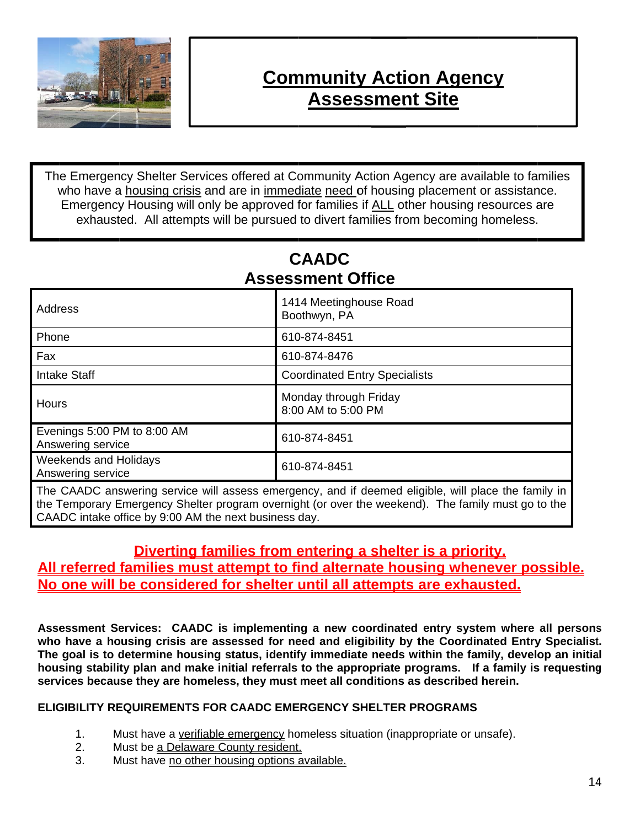

### **Community Action Agency Assessment Site**

The Emergency Shelter Services offered at Community Action Agency are available to families who have a housing crisis and are in immediate need of housing placement or assistance. Emergency Housing will only be approved for families if ALL other housing resources are exhausted. All attempts will be pursued to divert families from becoming homeless.

#### **CAADC Assessment Office**

| 1414 Meetinghouse Road<br>Boothwyn, PA      |
|---------------------------------------------|
| 610-874-8451                                |
| 610-874-8476                                |
| <b>Coordinated Entry Specialists</b>        |
| Monday through Friday<br>8:00 AM to 5:00 PM |
| 610-874-8451                                |
| 610-874-8451                                |
|                                             |

The CAADC answering service will assess emergency, and if deemed eligible, will place the family in the Temporary Emergency Shelter program overnight (or over the weekend). The family must go to the CAADC intake office by 9:00 AM the next business day.

#### Diverting families from entering a shelter is a priority. All referred families must attempt to find alternate housing whenever possible. No one will be considered for shelter until all attempts are exhausted.

Assessment Services: CAADC is implementing a new coordinated entry system where all persons who have a housing crisis are assessed for need and eligibility by the Coordinated Entry Specialist. The goal is to determine housing status, identify immediate needs within the family, develop an initial housing stability plan and make initial referrals to the appropriate programs. If a family is requesting services because they are homeless, they must meet all conditions as described herein.

#### **ELIGIBILITY REQUIREMENTS FOR CAADC EMERGENCY SHELTER PROGRAMS**

- $1<sub>1</sub>$ Must have a verifiable emergency homeless situation (inappropriate or unsafe).
- Must be a Delaware County resident.  $2.$
- $\overline{3}$ . Must have no other housing options available.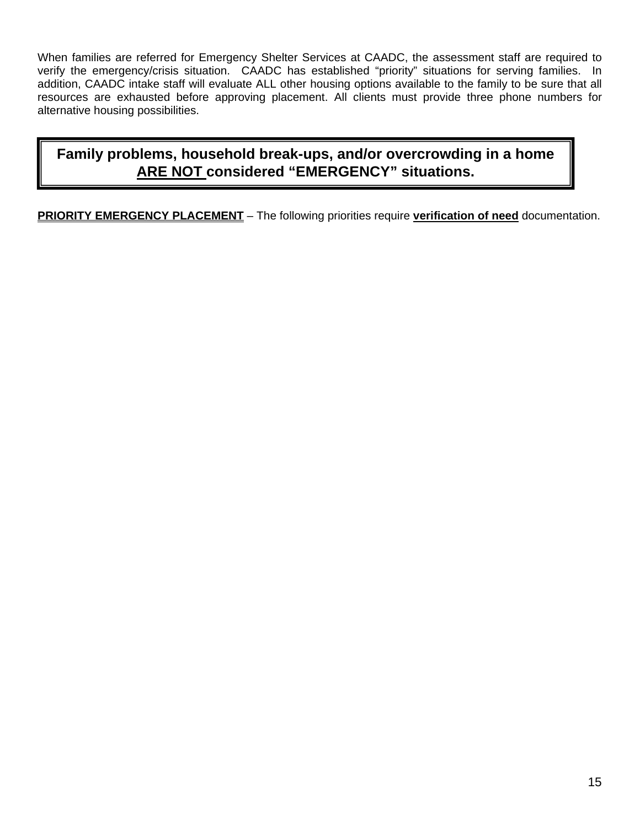When families are referred for Emergency Shelter Services at CAADC, the assessment staff are required to verify the emergency/crisis situation. CAADC has established "priority" situations for serving families. In addition, CAADC intake staff will evaluate ALL other housing options available to the family to be sure that all resources are exhausted before approving placement. All clients must provide three phone numbers for alternative housing possibilities.

#### **Family problems, household break-ups, and/or overcrowding in a home ARE NOT considered "EMERGENCY" situations.**

**PRIORITY EMERGENCY PLACEMENT** – The following priorities require **verification of need** documentation.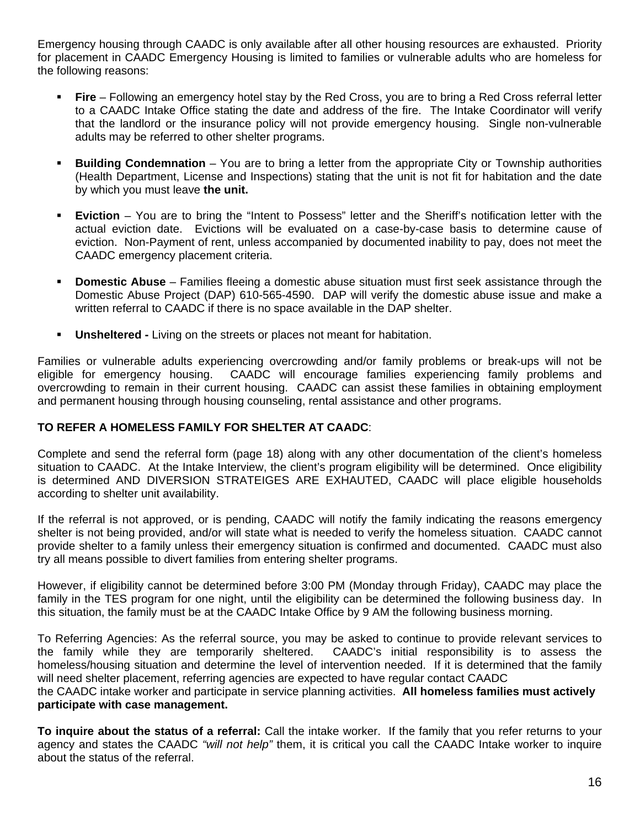Emergency housing through CAADC is only available after all other housing resources are exhausted. Priority for placement in CAADC Emergency Housing is limited to families or vulnerable adults who are homeless for the following reasons:

- **Fire**  Following an emergency hotel stay by the Red Cross, you are to bring a Red Cross referral letter to a CAADC Intake Office stating the date and address of the fire. The Intake Coordinator will verify that the landlord or the insurance policy will not provide emergency housing. Single non-vulnerable adults may be referred to other shelter programs.
- **Building Condemnation** You are to bring a letter from the appropriate City or Township authorities (Health Department, License and Inspections) stating that the unit is not fit for habitation and the date by which you must leave **the unit.**
- **Eviction** You are to bring the "Intent to Possess" letter and the Sheriff's notification letter with the actual eviction date. Evictions will be evaluated on a case-by-case basis to determine cause of eviction. Non-Payment of rent, unless accompanied by documented inability to pay, does not meet the CAADC emergency placement criteria.
- **Domestic Abuse** Families fleeing a domestic abuse situation must first seek assistance through the Domestic Abuse Project (DAP) 610-565-4590. DAP will verify the domestic abuse issue and make a written referral to CAADC if there is no space available in the DAP shelter.
- **Unsheltered Living on the streets or places not meant for habitation.**

Families or vulnerable adults experiencing overcrowding and/or family problems or break-ups will not be eligible for emergency housing. CAADC will encourage families experiencing family problems and overcrowding to remain in their current housing. CAADC can assist these families in obtaining employment and permanent housing through housing counseling, rental assistance and other programs.

#### **TO REFER A HOMELESS FAMILY FOR SHELTER AT CAADC**:

Complete and send the referral form (page 18) along with any other documentation of the client's homeless situation to CAADC. At the Intake Interview, the client's program eligibility will be determined. Once eligibility is determined AND DIVERSION STRATEIGES ARE EXHAUTED, CAADC will place eligible households according to shelter unit availability.

If the referral is not approved, or is pending, CAADC will notify the family indicating the reasons emergency shelter is not being provided, and/or will state what is needed to verify the homeless situation. CAADC cannot provide shelter to a family unless their emergency situation is confirmed and documented. CAADC must also try all means possible to divert families from entering shelter programs.

However, if eligibility cannot be determined before 3:00 PM (Monday through Friday), CAADC may place the family in the TES program for one night, until the eligibility can be determined the following business day. In this situation, the family must be at the CAADC Intake Office by 9 AM the following business morning.

To Referring Agencies: As the referral source, you may be asked to continue to provide relevant services to the family while they are temporarily sheltered. CAADC's initial responsibility is to assess the homeless/housing situation and determine the level of intervention needed. If it is determined that the family will need shelter placement, referring agencies are expected to have regular contact CAADC

the CAADC intake worker and participate in service planning activities. **All homeless families must actively participate with case management.**

**To inquire about the status of a referral:** Call the intake worker. If the family that you refer returns to your agency and states the CAADC *"will not help"* them, it is critical you call the CAADC Intake worker to inquire about the status of the referral.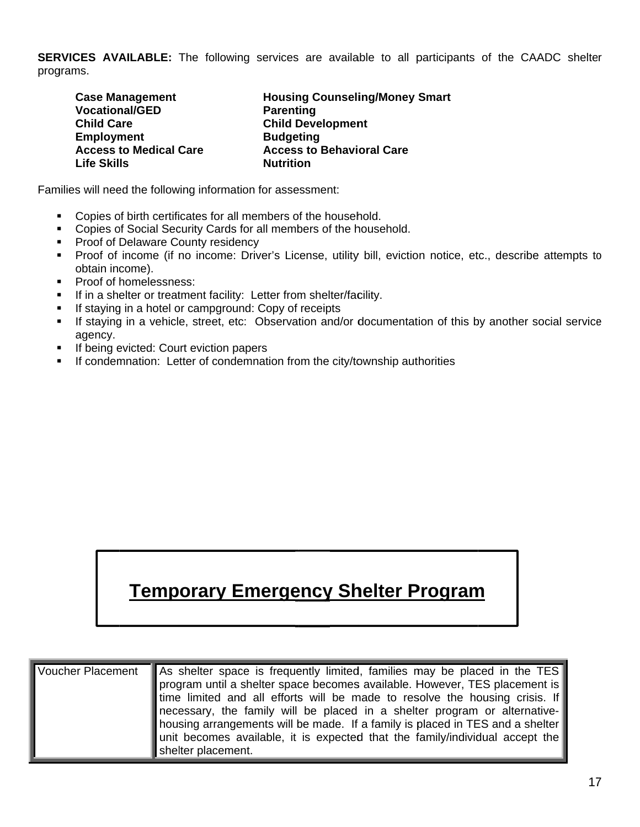**SERVICES AVAILABLE:** The following services are available to all participants of the CAADC shelter programs.

| <b>Case Management</b>        | <b>Housing Counseling/Money Smart</b> |
|-------------------------------|---------------------------------------|
| <b>Vocational/GED</b>         | <b>Parenting</b>                      |
| <b>Child Care</b>             | <b>Child Development</b>              |
| <b>Employment</b>             | <b>Budgeting</b>                      |
| <b>Access to Medical Care</b> | <b>Access to Behavioral Care</b>      |
| <b>Life Skills</b>            | <b>Nutrition</b>                      |

Families will need the following information for assessment:

- Copies of birth certificates for all members of the household.  $\mathbf{u} = \mathbf{u}$
- Copies of Social Security Cards for all members of the household.
- Proof of Delaware County residency
- Proof of income (if no income: Driver's License, utility bill, eviction notice, etc., describe attempts to obtain income).
- $\mathbf{r}$ Proof of homelessness:
- If in a shelter or treatment facility: Letter from shelter/facility.  $\blacksquare$
- If staying in a hotel or campground: Copy of receipts  $\blacksquare$
- If staying in a vehicle, street, etc: Observation and/or documentation of this by another social service  $\blacksquare$ agency.
- If being evicted: Court eviction papers  $\blacksquare$
- If condemnation: Letter of condemnation from the city/township authorities

### **Temporary Emergency Shelter Program**

| Voucher Placement As shelter space is frequently limited, families may be placed in the TES<br>program until a shelter space becomes available. However, TES placement is<br>time limited and all efforts will be made to resolve the housing crisis. If<br>necessary, the family will be placed in a shelter program or alternative-<br>housing arrangements will be made. If a family is placed in TES and a shelter<br>unit becomes available, it is expected that the family/individual accept the |
|--------------------------------------------------------------------------------------------------------------------------------------------------------------------------------------------------------------------------------------------------------------------------------------------------------------------------------------------------------------------------------------------------------------------------------------------------------------------------------------------------------|
| shelter placement.                                                                                                                                                                                                                                                                                                                                                                                                                                                                                     |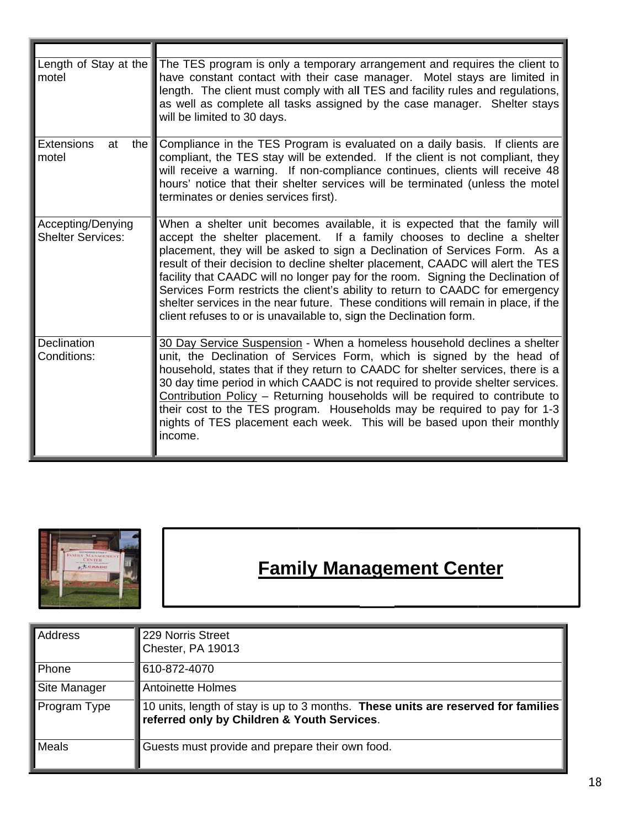| Length of Stay at the<br>motel                      | The TES program is only a temporary arrangement and requires the client to<br>have constant contact with their case manager. Motel stays are limited in<br>length. The client must comply with all TES and facility rules and regulations,<br>as well as complete all tasks assigned by the case manager. Shelter stays<br>will be limited to 30 days.                                                                                                                                                                                                                                                                                                |
|-----------------------------------------------------|-------------------------------------------------------------------------------------------------------------------------------------------------------------------------------------------------------------------------------------------------------------------------------------------------------------------------------------------------------------------------------------------------------------------------------------------------------------------------------------------------------------------------------------------------------------------------------------------------------------------------------------------------------|
| <b>Extensions</b><br>at<br>the $\parallel$<br>motel | Compliance in the TES Program is evaluated on a daily basis. If clients are<br>compliant, the TES stay will be extended. If the client is not compliant, they<br>will receive a warning. If non-compliance continues, clients will receive 48<br>hours' notice that their shelter services will be terminated (unless the motel<br>terminates or denies services first).                                                                                                                                                                                                                                                                              |
| Accepting/Denying<br><b>Shelter Services:</b>       | When a shelter unit becomes available, it is expected that the family will<br>accept the shelter placement. If a family chooses to decline a shelter<br>placement, they will be asked to sign a Declination of Services Form. As a<br>result of their decision to decline shelter placement, CAADC will alert the TES<br>facility that CAADC will no longer pay for the room. Signing the Declination of<br>Services Form restricts the client's ability to return to CAADC for emergency<br>shelter services in the near future. These conditions will remain in place, if the<br>client refuses to or is unavailable to, sign the Declination form. |
| Declination<br>Conditions:                          | 30 Day Service Suspension - When a homeless household declines a shelter<br>unit, the Declination of Services Form, which is signed by the head of<br>household, states that if they return to CAADC for shelter services, there is a<br>30 day time period in which CAADC is not required to provide shelter services.<br>Contribution Policy - Returning households will be required to contribute to<br>their cost to the TES program. Households may be required to pay for 1-3<br>nights of TES placement each week. This will be based upon their monthly<br>income.                                                                            |



## **Family Management Center**

| Address      | 229 Norris Street<br>Chester, PA 19013                                                                                           |
|--------------|----------------------------------------------------------------------------------------------------------------------------------|
| Phone        | 610-872-4070                                                                                                                     |
| Site Manager | <b>Antoinette Holmes</b>                                                                                                         |
| Program Type | 10 units, length of stay is up to 3 months. These units are reserved for families<br>referred only by Children & Youth Services. |
| Meals        | Guests must provide and prepare their own food.                                                                                  |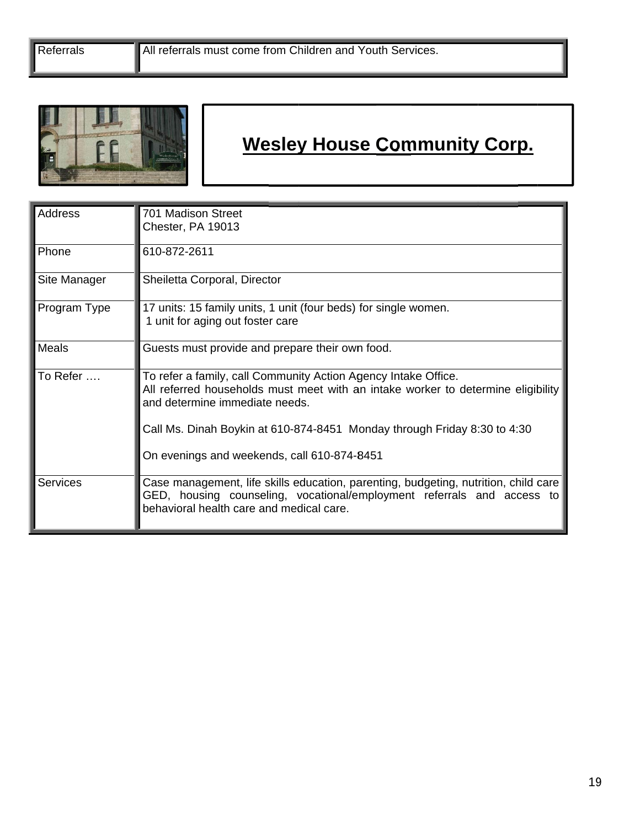Referrals



## **Wesley House Community Corp.**

| Address         | 701 Madison Street<br>Chester, PA 19013                                                                                                                                                                   |
|-----------------|-----------------------------------------------------------------------------------------------------------------------------------------------------------------------------------------------------------|
| Phone           | 610-872-2611                                                                                                                                                                                              |
| Site Manager    | Sheiletta Corporal, Director                                                                                                                                                                              |
| Program Type    | 17 units: 15 family units, 1 unit (four beds) for single women.<br>1 unit for aging out foster care                                                                                                       |
| Meals           | Guests must provide and prepare their own food.                                                                                                                                                           |
| To Refer        | To refer a family, call Community Action Agency Intake Office.<br>All referred households must meet with an intake worker to determine eligibility<br>and determine immediate needs.                      |
|                 | Call Ms. Dinah Boykin at 610-874-8451 Monday through Friday 8:30 to 4:30                                                                                                                                  |
|                 | On evenings and weekends, call 610-874-8451                                                                                                                                                               |
| <b>Services</b> | Case management, life skills education, parenting, budgeting, nutrition, child care<br>GED, housing counseling, vocational/employment referrals and access to<br>behavioral health care and medical care. |